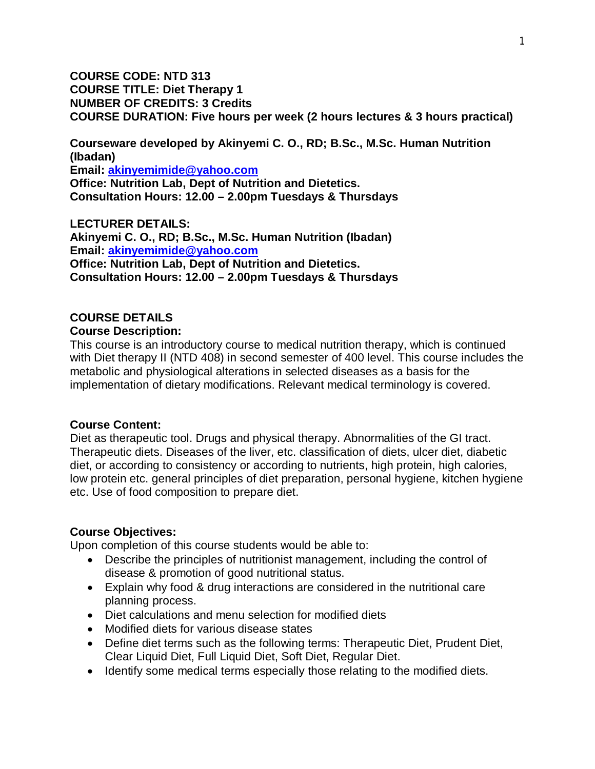**COURSE CODE: NTD 313 COURSE TITLE: Diet Therapy 1 NUMBER OF CREDITS: 3 Credits COURSE DURATION: Five hours per week (2 hours lectures & 3 hours practical)** 

**Courseware developed by Akinyemi C. O., RD; B.Sc., M.Sc. Human Nutrition (Ibadan)**

**Email: akinyemimide@yahoo.com**

**Office: Nutrition Lab, Dept of Nutrition and Dietetics. Consultation Hours: 12.00 – 2.00pm Tuesdays & Thursdays** 

**LECTURER DETAILS: Akinyemi C. O., RD; B.Sc., M.Sc. Human Nutrition (Ibadan) Email: akinyemimide@yahoo.com Office: Nutrition Lab, Dept of Nutrition and Dietetics. Consultation Hours: 12.00 – 2.00pm Tuesdays & Thursdays** 

#### **COURSE DETAILS Course Description:**

This course is an introductory course to medical nutrition therapy, which is continued with Diet therapy II (NTD 408) in second semester of 400 level. This course includes the metabolic and physiological alterations in selected diseases as a basis for the implementation of dietary modifications. Relevant medical terminology is covered.

# **Course Content:**

Diet as therapeutic tool. Drugs and physical therapy. Abnormalities of the GI tract. Therapeutic diets. Diseases of the liver, etc. classification of diets, ulcer diet, diabetic diet, or according to consistency or according to nutrients, high protein, high calories, low protein etc. general principles of diet preparation, personal hygiene, kitchen hygiene etc. Use of food composition to prepare diet.

# **Course Objectives:**

Upon completion of this course students would be able to:

- Describe the principles of nutritionist management, including the control of disease & promotion of good nutritional status.
- Explain why food & drug interactions are considered in the nutritional care planning process.
- Diet calculations and menu selection for modified diets
- Modified diets for various disease states
- Define diet terms such as the following terms: Therapeutic Diet, Prudent Diet, Clear Liquid Diet, Full Liquid Diet, Soft Diet, Regular Diet.
- Identify some medical terms especially those relating to the modified diets.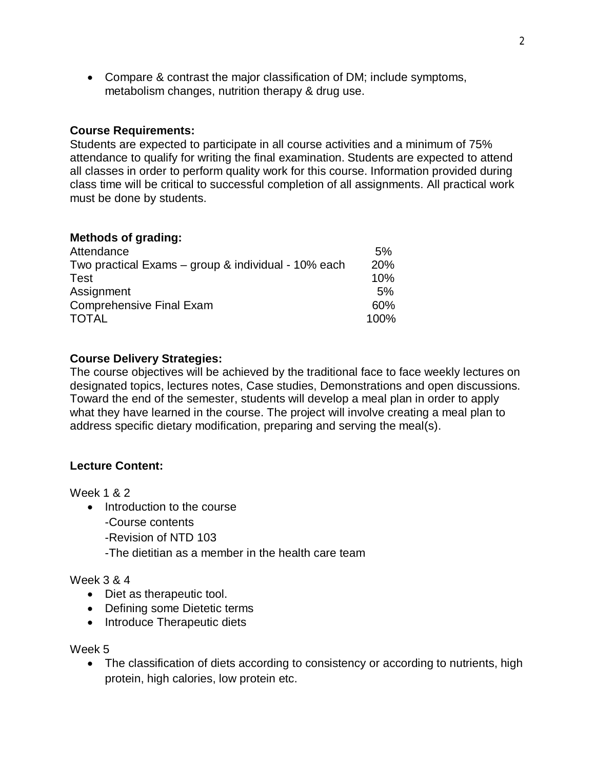Compare & contrast the major classification of DM; include symptoms, metabolism changes, nutrition therapy & drug use.

### **Course Requirements:**

Students are expected to participate in all course activities and a minimum of 75% attendance to qualify for writing the final examination. Students are expected to attend all classes in order to perform quality work for this course. Information provided during class time will be critical to successful completion of all assignments. All practical work must be done by students.

#### **Methods of grading:**

| Attendance                                          | 5%         |
|-----------------------------------------------------|------------|
| Two practical Exams – group & individual - 10% each | <b>20%</b> |
| Test                                                | 10%        |
| Assignment                                          | 5%         |
| <b>Comprehensive Final Exam</b>                     | $60\%$     |
| <b>TOTAL</b>                                        | 100%       |

### **Course Delivery Strategies:**

The course objectives will be achieved by the traditional face to face weekly lectures on designated topics, lectures notes, Case studies, Demonstrations and open discussions. Toward the end of the semester, students will develop a meal plan in order to apply what they have learned in the course. The project will involve creating a meal plan to address specific dietary modification, preparing and serving the meal(s).

#### **Lecture Content:**

Week 1 & 2

- Introduction to the course
	- -Course contents
	- -Revision of NTD 103
	- -The dietitian as a member in the health care team

#### Week 3 & 4

- Diet as therapeutic tool.
- Defining some Dietetic terms
- Introduce Therapeutic diets

#### Week 5

• The classification of diets according to consistency or according to nutrients, high protein, high calories, low protein etc.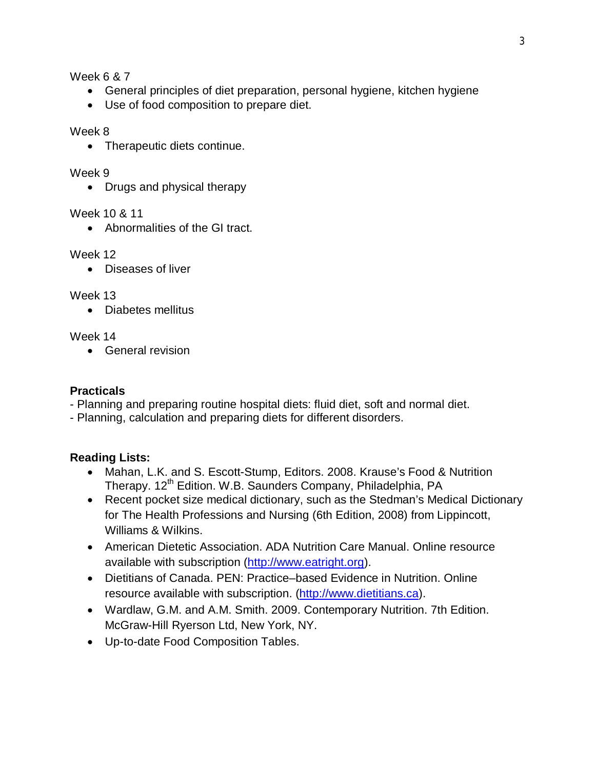Week 6 & 7

- General principles of diet preparation, personal hygiene, kitchen hygiene
- Use of food composition to prepare diet.

Week 8

• Therapeutic diets continue.

Week 9

• Drugs and physical therapy

Week 10 & 11

Abnormalities of the GI tract.

### Week 12

Diseases of liver

# Week 13

• Diabetes mellitus

Week 14

• General revision

# **Practicals**

- Planning and preparing routine hospital diets: fluid diet, soft and normal diet.

- Planning, calculation and preparing diets for different disorders.

# **Reading Lists:**

- Mahan, L.K. and S. Escott-Stump, Editors. 2008. Krause's Food & Nutrition Therapy. 12<sup>th</sup> Edition. W.B. Saunders Company, Philadelphia, PA
- Recent pocket size medical dictionary, such as the Stedman's Medical Dictionary for The Health Professions and Nursing (6th Edition, 2008) from Lippincott, Williams & Wilkins.
- American Dietetic Association. ADA Nutrition Care Manual. Online resource available with subscription (http://www.eatright.org).
- Dietitians of Canada. PEN: Practice–based Evidence in Nutrition. Online resource available with subscription. (http://www.dietitians.ca).
- Wardlaw, G.M. and A.M. Smith. 2009. Contemporary Nutrition. 7th Edition. McGraw-Hill Ryerson Ltd, New York, NY.
- Up-to-date Food Composition Tables.